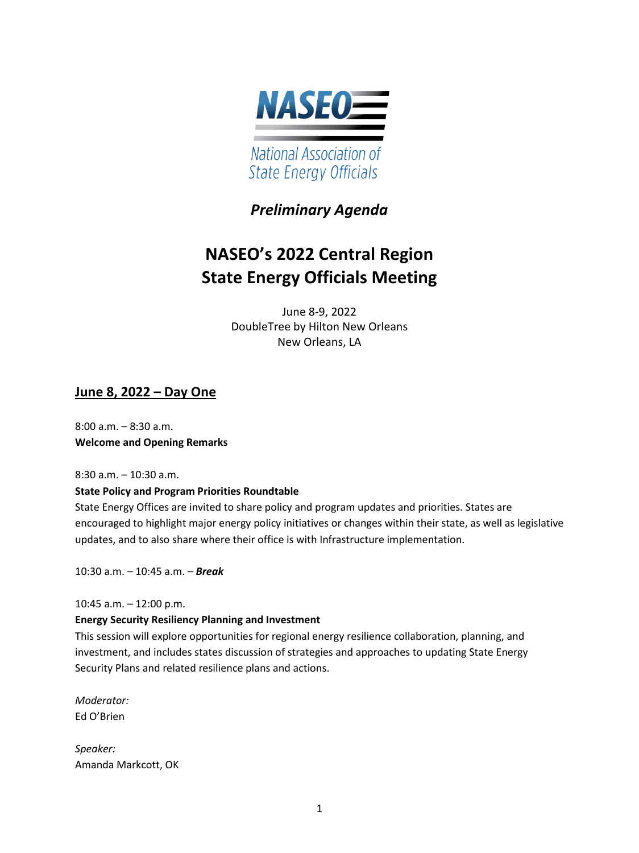

# *Preliminary Agenda*

# **NASEO's 2022 Central Region State Energy Officials Meeting**

June 8-9, 2022 DoubleTree by Hilton New Orleans New Orleans, LA

# **June 8, 2022 – Day One**

8:00 a.m. – 8:30 a.m. **Welcome and Opening Remarks** 

8:30 a.m. – 10:30 a.m.

# **State Policy and Program Priorities Roundtable**

State Energy Offices are invited to share policy and program updates and priorities. States are encouraged to highlight major energy policy initiatives or changes within their state, as well as legislative updates, and to also share where their office is with Infrastructure implementation.

10:30 a.m. – 10:45 a.m. – *Break* 

10:45 a.m. – 12:00 p.m.

# **Energy Security Resiliency Planning and Investment**

This session will explore opportunities for regional energy resilience collaboration, planning, and investment, and includes states discussion of strategies and approaches to updating State Energy Security Plans and related resilience plans and actions.

*Moderator:*  Ed O'Brien

*Speaker:* Amanda Markcott, OK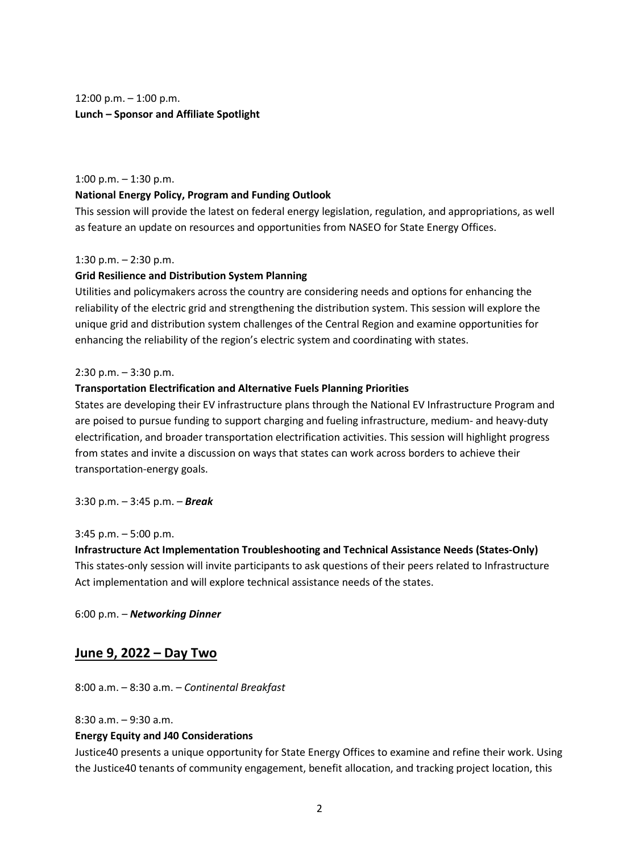$12:00$  p.m.  $-1:00$  p.m. **Lunch – Sponsor and Affiliate Spotlight**

1:00 p.m. – 1:30 p.m.

#### **National Energy Policy, Program and Funding Outlook**

This session will provide the latest on federal energy legislation, regulation, and appropriations, as well as feature an update on resources and opportunities from NASEO for State Energy Offices.

#### 1:30 p.m.  $-$  2:30 p.m.

#### **Grid Resilience and Distribution System Planning**

Utilities and policymakers across the country are considering needs and options for enhancing the reliability of the electric grid and strengthening the distribution system. This session will explore the unique grid and distribution system challenges of the Central Region and examine opportunities for enhancing the reliability of the region's electric system and coordinating with states.

#### 2:30 p.m. – 3:30 p.m.

#### **Transportation Electrification and Alternative Fuels Planning Priorities**

States are developing their EV infrastructure plans through the National EV Infrastructure Program and are poised to pursue funding to support charging and fueling infrastructure, medium- and heavy-duty electrification, and broader transportation electrification activities. This session will highlight progress from states and invite a discussion on ways that states can work across borders to achieve their transportation-energy goals.

3:30 p.m. – 3:45 p.m. – *Break*

3:45 p.m. – 5:00 p.m.

**Infrastructure Act Implementation Troubleshooting and Technical Assistance Needs (States-Only)**  This states-only session will invite participants to ask questions of their peers related to Infrastructure Act implementation and will explore technical assistance needs of the states.

6:00 p.m. – *Networking Dinner*

# **June 9, 2022 – Day Two**

8:00 a.m. – 8:30 a.m. – *Continental Breakfast*

8:30 a.m. – 9:30 a.m.

#### **Energy Equity and J40 Considerations**

Justice40 presents a unique opportunity for State Energy Offices to examine and refine their work. Using the Justice40 tenants of community engagement, benefit allocation, and tracking project location, this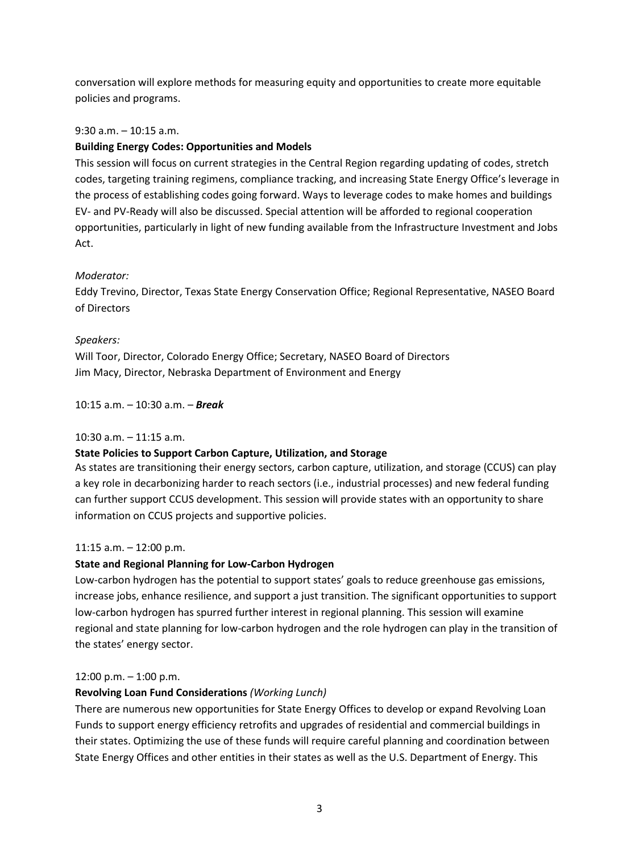conversation will explore methods for measuring equity and opportunities to create more equitable policies and programs.

#### 9:30 a.m. – 10:15 a.m.

#### **Building Energy Codes: Opportunities and Models**

This session will focus on current strategies in the Central Region regarding updating of codes, stretch codes, targeting training regimens, compliance tracking, and increasing State Energy Office's leverage in the process of establishing codes going forward. Ways to leverage codes to make homes and buildings EV- and PV-Ready will also be discussed. Special attention will be afforded to regional cooperation opportunities, particularly in light of new funding available from the Infrastructure Investment and Jobs Act.

#### *Moderator:*

Eddy Trevino, Director, Texas State Energy Conservation Office; Regional Representative, NASEO Board of Directors

#### *Speakers:*

Will Toor, Director, Colorado Energy Office; Secretary, NASEO Board of Directors Jim Macy, Director, Nebraska Department of Environment and Energy

10:15 a.m. – 10:30 a.m. – *Break* 

#### 10:30 a.m. – 11:15 a.m.

#### **State Policies to Support Carbon Capture, Utilization, and Storage**

As states are transitioning their energy sectors, carbon capture, utilization, and storage (CCUS) can play a key role in decarbonizing harder to reach sectors (i.e., industrial processes) and new federal funding can further support CCUS development. This session will provide states with an opportunity to share information on CCUS projects and supportive policies.

#### 11:15 a.m. – 12:00 p.m.

#### **State and Regional Planning for Low-Carbon Hydrogen**

Low-carbon hydrogen has the potential to support states' goals to reduce greenhouse gas emissions, increase jobs, enhance resilience, and support a just transition. The significant opportunities to support low-carbon hydrogen has spurred further interest in regional planning. This session will examine regional and state planning for low-carbon hydrogen and the role hydrogen can play in the transition of the states' energy sector.

#### 12:00 p.m. – 1:00 p.m.

#### **Revolving Loan Fund Considerations** *(Working Lunch)*

There are numerous new opportunities for State Energy Offices to develop or expand Revolving Loan Funds to support energy efficiency retrofits and upgrades of residential and commercial buildings in their states. Optimizing the use of these funds will require careful planning and coordination between State Energy Offices and other entities in their states as well as the U.S. Department of Energy. This